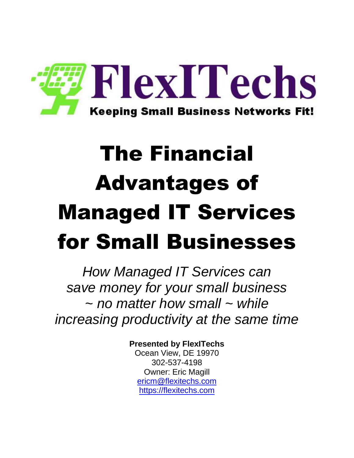

# The Financial Advantages of Managed IT Services for Small Businesses

*How Managed IT Services can save money for your small business ~ no matter how small ~ while increasing productivity at the same time*

**Presented by FlexITechs**

Ocean View, DE 19970 302-537-4198 Owner: Eric Magill [ericm@flexitechs.com](mailto:ericm@flexitechs.com) [https://flexitechs.com](https://flexitechs.com/)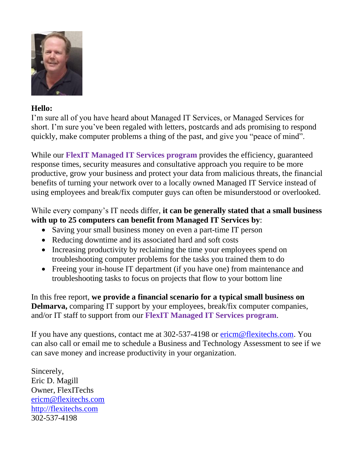

#### **Hello:**

I'm sure all of you have heard about Managed IT Services, or Managed Services for short. I'm sure you've been regaled with letters, postcards and ads promising to respond quickly, make computer problems a thing of the past, and give you "peace of mind".

While our **FlexIT Managed IT Services program** provides the efficiency, guaranteed response times, security measures and consultative approach you require to be more productive, grow your business and protect your data from malicious threats, the financial benefits of turning your network over to a locally owned Managed IT Service instead of using employees and break/fix computer guys can often be misunderstood or overlooked.

#### While every company's IT needs differ, **it can be generally stated that a small business with up to 25 computers can benefit from Managed IT Services by**:

- Saving your small business money on even a part-time IT person
- Reducing downtime and its associated hard and soft costs
- Increasing productivity by reclaiming the time your employees spend on troubleshooting computer problems for the tasks you trained them to do
- Freeing your in-house IT department (if you have one) from maintenance and troubleshooting tasks to focus on projects that flow to your bottom line

In this free report, **we provide a financial scenario for a typical small business on Delmarva,** comparing IT support by your employees, break/fix computer companies, and/or IT staff to support from our **FlexIT Managed IT Services program**.

If you have any questions, contact me at 302-537-4198 or [ericm@flexitechs.com.](mailto:ericm@flexitechs.com) You can also call or email me to schedule a Business and Technology Assessment to see if we can save money and increase productivity in your organization.

Sincerely, Eric D. Magill Owner, FlexITechs [ericm@flexitechs.com](mailto:ericm@flexitechs.com) [http://flexitechs.com](http://flexitechs.com/) 302-537-4198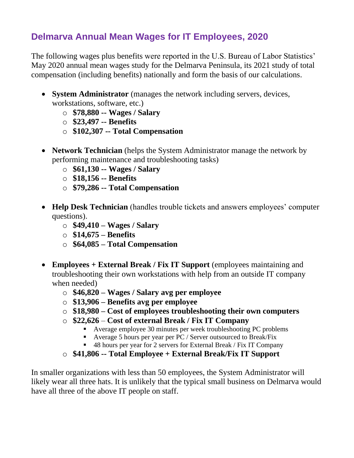#### **Delmarva Annual Mean Wages for IT Employees, 2020**

The following wages plus benefits were reported in the U.S. Bureau of Labor Statistics' May 2020 annual mean wages study for the Delmarva Peninsula, its 2021 study of total compensation (including benefits) nationally and form the basis of our calculations.

- **System Administrator** (manages the network including servers, devices, workstations, software, etc.)
	- o **\$78,880 -- Wages / Salary**
	- o **\$23,497 -- Benefits**
	- o **\$102,307 -- Total Compensation**
- **Network Technician** (helps the System Administrator manage the network by performing maintenance and troubleshooting tasks)
	- o **\$61,130 -- Wages / Salary**
	- o **\$18,156 -- Benefits**
	- o **\$79,286 -- Total Compensation**
- **Help Desk Technician** (handles trouble tickets and answers employees' computer questions).
	- o **\$49,410 – Wages / Salary**
	- o **\$14,675 – Benefits**
	- o **\$64,085 – Total Compensation**
- **Employees + External Break / Fix IT Support** (employees maintaining and troubleshooting their own workstations with help from an outside IT company when needed)
	- o **\$46,820 – Wages / Salary avg per employee**
	- o **\$13,906 – Benefits avg per employee**
	- o **\$18,980 – Cost of employees troubleshooting their own computers**
	- o **\$22,626 Cost of external Break / Fix IT Company**
		- Average employee 30 minutes per week troubleshooting PC problems
		- Average 5 hours per year per PC / Server outsourced to Break/Fix
		- 48 hours per year for 2 servers for External Break / Fix IT Company
	- o **\$41,806 -- Total Employee + External Break/Fix IT Support**

In smaller organizations with less than 50 employees, the System Administrator will likely wear all three hats. It is unlikely that the typical small business on Delmarva would have all three of the above IT people on staff.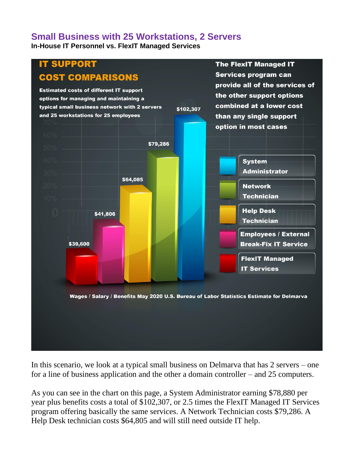#### **Small Business with 25 Workstations, 2 Servers**

**In-House IT Personnel vs. FlexIT Managed Services**



In this scenario, we look at a typical small business on Delmarva that has 2 servers – one for a line of business application and the other a domain controller – and 25 computers.

As you can see in the chart on this page, a System Administrator earning \$78,880 per year plus benefits costs a total of \$102,307, or 2.5 times the FlexIT Managed IT Services program offering basically the same services. A Network Technician costs \$79,286. A Help Desk technician costs \$64,805 and will still need outside IT help.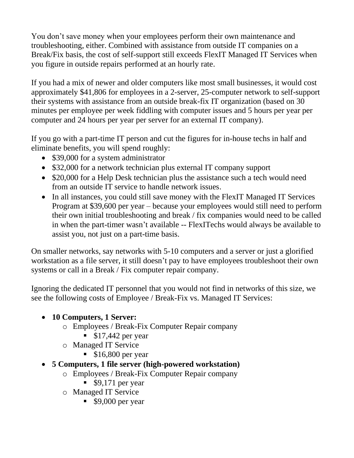You don't save money when your employees perform their own maintenance and troubleshooting, either. Combined with assistance from outside IT companies on a Break/Fix basis, the cost of self-support still exceeds FlexIT Managed IT Services when you figure in outside repairs performed at an hourly rate.

If you had a mix of newer and older computers like most small businesses, it would cost approximately \$41,806 for employees in a 2-server, 25-computer network to self-support their systems with assistance from an outside break-fix IT organization (based on 30 minutes per employee per week fiddling with computer issues and 5 hours per year per computer and 24 hours per year per server for an external IT company).

If you go with a part-time IT person and cut the figures for in-house techs in half and eliminate benefits, you will spend roughly:

- \$39,000 for a system administrator
- \$32,000 for a network technician plus external IT company support
- \$20,000 for a Help Desk technician plus the assistance such a tech would need from an outside IT service to handle network issues.
- In all instances, you could still save money with the FlexIT Managed IT Services Program at \$39,600 per year – because your employees would still need to perform their own initial troubleshooting and break / fix companies would need to be called in when the part-timer wasn't available -- FlexITechs would always be available to assist you, not just on a part-time basis.

On smaller networks, say networks with 5-10 computers and a server or just a glorified workstation as a file server, it still doesn't pay to have employees troubleshoot their own systems or call in a Break / Fix computer repair company.

Ignoring the dedicated IT personnel that you would not find in networks of this size, we see the following costs of Employee / Break-Fix vs. Managed IT Services:

#### • **10 Computers, 1 Server:**

- o Employees / Break-Fix Computer Repair company
	- $\bullet$  \$17,442 per year
- o Managed IT Service
	- $\textdegree$  \$16,800 per year
- **5 Computers, 1 file server (high-powered workstation)**
	- o Employees / Break-Fix Computer Repair company
		- $\bullet$  \$9,171 per year
	- o Managed IT Service
		- \$9,000 per year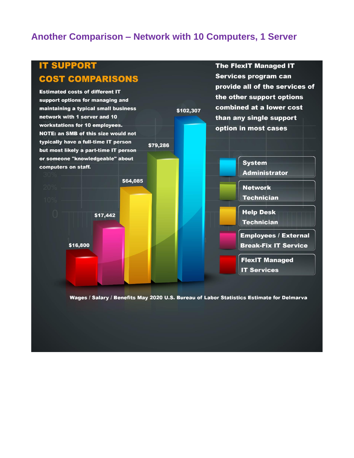#### **Another Comparison – Network with 10 Computers, 1 Server**



Wages / Salary / Benefits May 2020 U.S. Bureau of Labor Statistics Estimate for Delmarva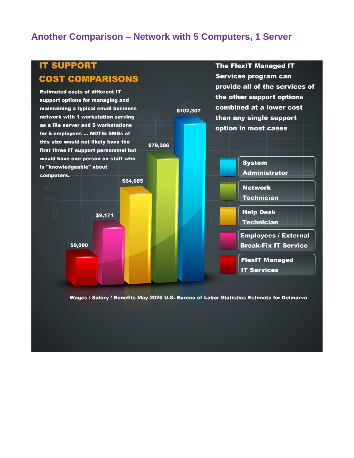#### **Another Comparison – Network with 5 Computers, 1 Server**



Wages / Salary / Benefits May 2020 U.S. Bureau of Labor Statistics Estimate for Delmarva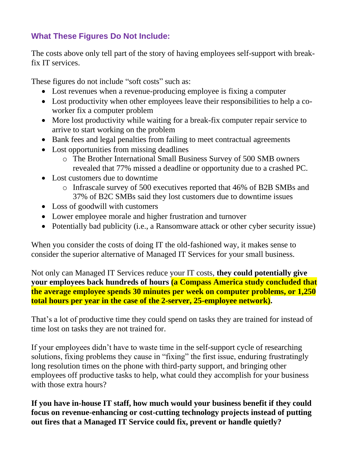#### **What These Figures Do Not Include:**

The costs above only tell part of the story of having employees self-support with breakfix IT services.

These figures do not include "soft costs" such as:

- Lost revenues when a revenue-producing employee is fixing a computer
- Lost productivity when other employees leave their responsibilities to help a coworker fix a computer problem
- More lost productivity while waiting for a break-fix computer repair service to arrive to start working on the problem
- Bank fees and legal penalties from failing to meet contractual agreements
- Lost opportunities from missing deadlines
	- o The Brother International Small Business Survey of 500 SMB owners revealed that 77% missed a deadline or opportunity due to a crashed PC.
- Lost customers due to downtime
	- o Infrascale survey of 500 executives reported that 46% of B2B SMBs and 37% of B2C SMBs said they lost customers due to downtime issues
- Loss of goodwill with customers
- Lower employee morale and higher frustration and turnover
- Potentially bad publicity (i.e., a Ransomware attack or other cyber security issue)

When you consider the costs of doing IT the old-fashioned way, it makes sense to consider the superior alternative of Managed IT Services for your small business.

Not only can Managed IT Services reduce your IT costs, **they could potentially give your employees back hundreds of hours (a Compass America study concluded that the average employee spends 30 minutes per week on computer problems, or 1,250 total hours per year in the case of the 2-server, 25-employee network).**

That's a lot of productive time they could spend on tasks they are trained for instead of time lost on tasks they are not trained for.

If your employees didn't have to waste time in the self-support cycle of researching solutions, fixing problems they cause in "fixing" the first issue, enduring frustratingly long resolution times on the phone with third-party support, and bringing other employees off productive tasks to help, what could they accomplish for your business with those extra hours?

**If you have in-house IT staff, how much would your business benefit if they could focus on revenue-enhancing or cost-cutting technology projects instead of putting out fires that a Managed IT Service could fix, prevent or handle quietly?**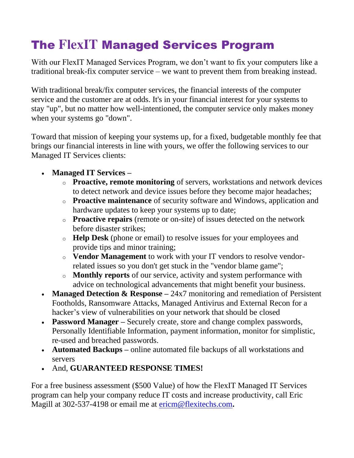## The **FlexIT** Managed Services Program

With our FlexIT Managed Services Program, we don't want to fix your computers like a traditional break-fix computer service – we want to prevent them from breaking instead.

With traditional break/fix computer services, the financial interests of the computer service and the customer are at odds. It's in your financial interest for your systems to stay "up", but no matter how well-intentioned, the computer service only makes money when your systems go "down".

Toward that mission of keeping your systems up, for a fixed, budgetable monthly fee that brings our financial interests in line with yours, we offer the following services to our Managed IT Services clients:

- **Managed IT Services –**
	- o **Proactive, remote monitoring** of servers, workstations and network devices to detect network and device issues before they become major headaches;
	- o **Proactive maintenance** of security software and Windows, application and hardware updates to keep your systems up to date;
	- o **Proactive repairs** (remote or on-site) of issues detected on the network before disaster strikes;
	- o **Help Desk** (phone or email) to resolve issues for your employees and provide tips and minor training;
	- o **Vendor Management** to work with your IT vendors to resolve vendorrelated issues so you don't get stuck in the "vendor blame game";
	- o **Monthly reports** of our service, activity and system performance with advice on technological advancements that might benefit your business.
- **Managed Detection & Response** 24x7 monitoring and remediation of Persistent Footholds, Ransomware Attacks, Managed Antivirus and External Recon for a hacker's view of vulnerabilities on your network that should be closed
- **Password Manager** Securely create, store and change complex passwords, Personally Identifiable Information, payment information, monitor for simplistic, re-used and breached passwords.
- **Automated Backups –** online automated file backups of all workstations and servers
- And, **GUARANTEED RESPONSE TIMES!**

For a free business assessment (\$500 Value) of how the FlexIT Managed IT Services program can help your company reduce IT costs and increase productivity, call Eric Magill at 302-537-4198 or email me at [ericm@flexitechs.com](mailto:ericm@flexitechs.com)**.**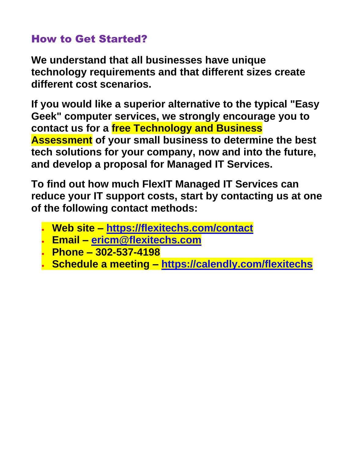### How to Get Started?

**We understand that all businesses have unique technology requirements and that different sizes create different cost scenarios.**

**If you would like a superior alternative to the typical "Easy Geek" computer services, we strongly encourage you to contact us for a free Technology and Business Assessment of your small business to determine the best tech solutions for your company, now and into the future, and develop a proposal for Managed IT Services.**

**To find out how much FlexIT Managed IT Services can reduce your IT support costs, start by contacting us at one of the following contact methods:**

- **Web site – <https://flexitechs.com/contact>**
- **Email – [ericm@flexitechs.com](mailto:ericm@flexitechs.com)**
- **Phone – 302-537-4198**
- **Schedule a meeting – <https://calendly.com/flexitechs>**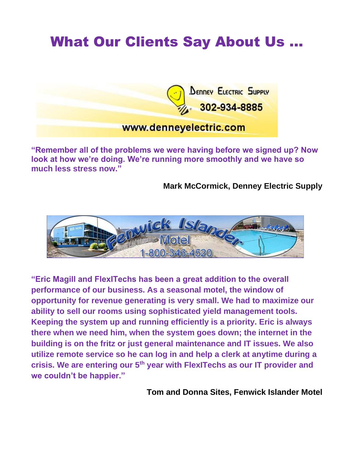# What Our Clients Say About Us …



**"Remember all of the problems we were having before we signed up? Now look at how we're doing. We're running more smoothly and we have so much less stress now."**

**Mark McCormick, Denney Electric Supply** 



**"Eric Magill and FlexITechs has been a great addition to the overall performance of our business. As a seasonal motel, the window of opportunity for revenue generating is very small. We had to maximize our ability to sell our rooms using sophisticated yield management tools. Keeping the system up and running efficiently is a priority. Eric is always there when we need him, when the system goes down; the internet in the building is on the fritz or just general maintenance and IT issues. We also utilize remote service so he can log in and help a clerk at anytime during a crisis. We are entering our 5th year with FlexITechs as our IT provider and we couldn't be happier."**

**Tom and Donna Sites, Fenwick Islander Motel**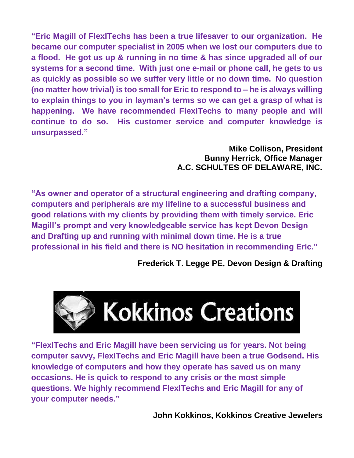**"Eric Magill of FlexITechs has been a true lifesaver to our organization. He became our computer specialist in 2005 when we lost our computers due to a flood. He got us up & running in no time & has since upgraded all of our systems for a second time. With just one e-mail or phone call, he gets to us as quickly as possible so we suffer very little or no down time. No question (no matter how trivial) is too small for Eric to respond to – he is always willing to explain things to you in layman's terms so we can get a grasp of what is happening. We have recommended FlexITechs to many people and will continue to do so. His customer service and computer knowledge is unsurpassed."** 

#### **Mike Collison, President Bunny Herrick, Office Manager A.C. SCHULTES OF DELAWARE, INC.**

**"As owner and operator of a structural engineering and drafting company, computers and peripherals are my lifeline to a successful business and good relations with my clients by providing them with timely service. Eric Magill's prompt and very knowledgeable service has kept Devon Design and Drafting up and running with minimal down time. He is a true professional in his field and there is NO hesitation in recommending Eric."**

**Frederick T. Legge PE, Devon Design & Drafting**



**"FlexITechs and Eric Magill have been servicing us for years. Not being computer savvy, FlexITechs and Eric Magill have been a true Godsend. His knowledge of computers and how they operate has saved us on many occasions. He is quick to respond to any crisis or the most simple questions. We highly recommend FlexITechs and Eric Magill for any of your computer needs."**

**John Kokkinos, Kokkinos Creative Jewelers**